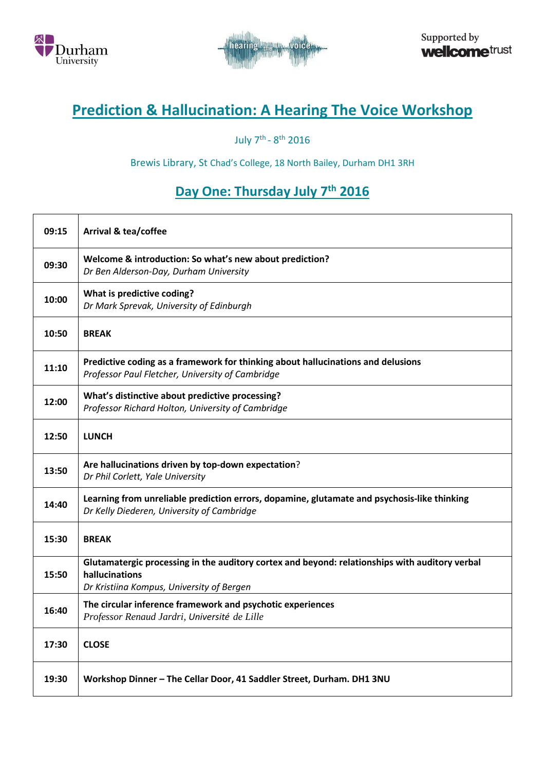



Supported by **wellcome**trust

## **Prediction & Hallucination: A Hearing The Voice Workshop**

July 7<sup>th</sup> - 8<sup>th</sup> 2016

Brewis Library, St Chad's College, 18 North Bailey, Durham DH1 3RH

## **Day One: Thursday July 7 th 2016**

| 09:15 | <b>Arrival &amp; tea/coffee</b>                                                                                                                               |
|-------|---------------------------------------------------------------------------------------------------------------------------------------------------------------|
| 09:30 | Welcome & introduction: So what's new about prediction?<br>Dr Ben Alderson-Day, Durham University                                                             |
| 10:00 | What is predictive coding?<br>Dr Mark Sprevak, University of Edinburgh                                                                                        |
| 10:50 | <b>BREAK</b>                                                                                                                                                  |
| 11:10 | Predictive coding as a framework for thinking about hallucinations and delusions<br>Professor Paul Fletcher, University of Cambridge                          |
| 12:00 | What's distinctive about predictive processing?<br>Professor Richard Holton, University of Cambridge                                                          |
| 12:50 | <b>LUNCH</b>                                                                                                                                                  |
| 13:50 | Are hallucinations driven by top-down expectation?<br>Dr Phil Corlett, Yale University                                                                        |
| 14:40 | Learning from unreliable prediction errors, dopamine, glutamate and psychosis-like thinking<br>Dr Kelly Diederen, University of Cambridge                     |
| 15:30 | <b>BREAK</b>                                                                                                                                                  |
| 15:50 | Glutamatergic processing in the auditory cortex and beyond: relationships with auditory verbal<br>hallucinations<br>Dr Kristiina Kompus, University of Bergen |
| 16:40 | The circular inference framework and psychotic experiences<br>Professor Renaud Jardri, Université de Lille                                                    |
| 17:30 | <b>CLOSE</b>                                                                                                                                                  |
| 19:30 | Workshop Dinner - The Cellar Door, 41 Saddler Street, Durham. DH1 3NU                                                                                         |